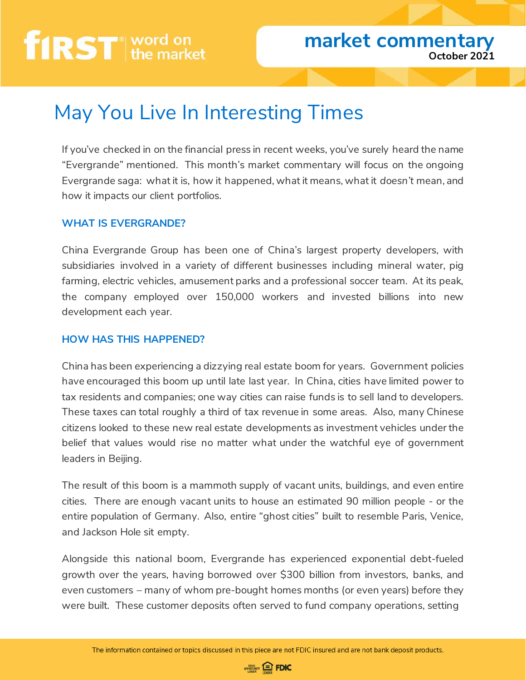# first word on

### May You Live In Interesting Times

If you've checked in on the financial press in recent weeks, you've surely heard the name "Evergrande" mentioned. This month's market commentary will focus on the ongoing Evergrande saga: what it is, how it happened, what it means, what it *doesn't* mean, and how it impacts our client portfolios.

#### **WHAT IS EVERGRANDE?**

China Evergrande Group has been one of China's largest property developers, with subsidiaries involved in a variety of different businesses including mineral water, pig farming, electric vehicles, amusement parks and a professional soccer team. At its peak, the company employed over 150,000 workers and invested billions into new development each year.

#### **HOW HAS THIS HAPPENED?**

China has been experiencing a dizzying real estate boom for years. Government policies have encouraged this boom up until late last year. In China, cities have limited power to tax residents and companies; one way cities can raise funds is to sell land to developers. These taxes can total roughly a third of tax revenue in some areas. Also, many Chinese citizens looked to these new real estate developments as investment vehicles under the belief that values would rise no matter what under the watchful eye of government leaders in Beijing.

The result of this boom is a mammoth supply of vacant units, buildings, and even entire cities. There are enough vacant units to house an estimated 90 million people - or the entire population of Germany. Also, entire "ghost cities" built to resemble Paris, Venice, and Jackson Hole sit empty.

Alongside this national boom, Evergrande has experienced exponential debt-fueled growth over the years, having borrowed over \$300 billion from investors, banks, and even customers – many of whom pre-bought homes months (or even years) before they were built. These customer deposits often served to fund company operations, setting

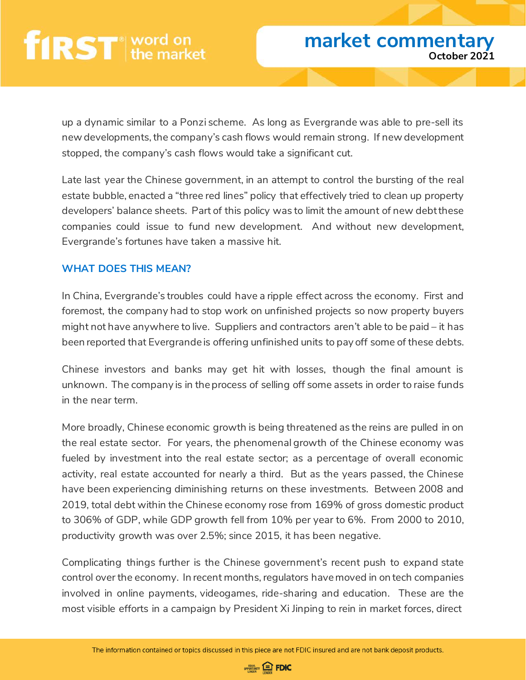up a dynamic similar to a Ponzi scheme. As long as Evergrande was able to pre-sell its new developments, the company's cash flows would remain strong. If new development stopped, the company's cash flows would take a significant cut.

Late last year the Chinese government, in an attempt to control the bursting of the real estate bubble, enacted a "three red lines" policy that effectively tried to clean up property developers' balance sheets. Part of this policy was to limit the amount of new debt these companies could issue to fund new development. And without new development, Evergrande's fortunes have taken a massive hit.

#### **WHAT DOES THIS MEAN?**

In China, Evergrande's troubles could have a ripple effect across the economy. First and foremost, the company had to stop work on unfinished projects so now property buyers might not have anywhere to live. Suppliers and contractors aren't able to be paid – it has been reported that Evergrande is offering unfinished units to pay off some of these debts.

Chinese investors and banks may get hit with losses, though the final amount is unknown. The company is in the process of selling off some assets in order to raise funds in the near term.

More broadly, Chinese economic growth is being threatened as the reins are pulled in on the real estate sector. For years, the phenomenal growth of the Chinese economy was fueled by investment into the real estate sector; as a percentage of overall economic activity, real estate accounted for nearly a third. But as the years passed, the Chinese have been experiencing diminishing returns on these investments. Between 2008 and 2019, total debt within the Chinese economy rose from 169% of gross domestic product to 306% of GDP, while GDP growth fell from 10% per year to 6%. From 2000 to 2010, productivity growth was over 2.5%; since 2015, it has been negative.

Complicating things further is the Chinese government's recent push to expand state control over the economy. In recent months, regulators have moved in on tech companies involved in online payments, videogames, ride-sharing and education. These are the most visible efforts in a campaign by President Xi Jinping to rein in market forces, direct

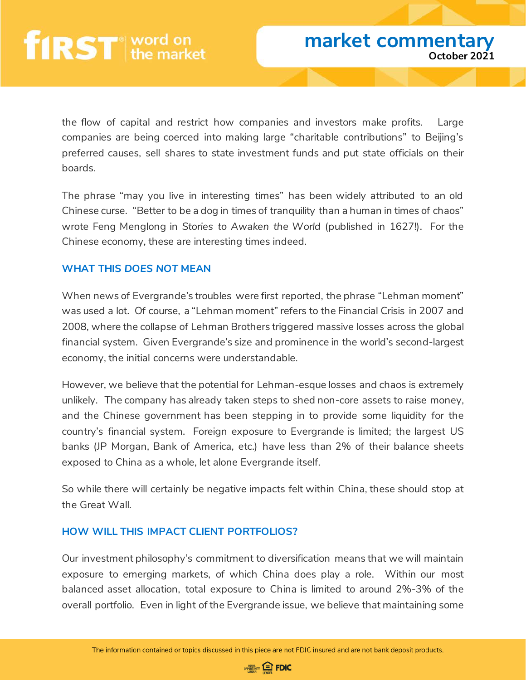the flow of capital and restrict how companies and investors make profits. Large companies are being coerced into making large "charitable contributions" to Beijing's preferred causes, sell shares to state investment funds and put state officials on their boards.

The phrase "may you live in interesting times" has been widely attributed to an old Chinese curse. "Better to be a dog in times of tranquility than a human in times of chaos" wrote Feng Menglong in *Stories to Awaken the World* (published in 1627!). For the Chinese economy, these are interesting times indeed.

#### **WHAT THIS** *DOES NOT* **MEAN**

When news of Evergrande's troubles were first reported, the phrase "Lehman moment" was used a lot. Of course, a "Lehman moment" refers to the Financial Crisis in 2007 and 2008, where the collapse of Lehman Brothers triggered massive losses across the global financial system. Given Evergrande's size and prominence in the world's second-largest economy, the initial concerns were understandable.

However, we believe that the potential for Lehman-esque losses and chaos is extremely unlikely. The company has already taken steps to shed non-core assets to raise money, and the Chinese government has been stepping in to provide some liquidity for the country's financial system. Foreign exposure to Evergrande is limited; the largest US banks (JP Morgan, Bank of America, etc.) have less than 2% of their balance sheets exposed to China as a whole, let alone Evergrande itself.

So while there will certainly be negative impacts felt within China, these should stop at the Great Wall.

#### **HOW WILL THIS IMPACT CLIENT PORTFOLIOS?**

Our investment philosophy's commitment to diversification means that we will maintain exposure to emerging markets, of which China does play a role. Within our most balanced asset allocation, total exposure to China is limited to around 2%-3% of the overall portfolio. Even in light of the Evergrande issue, we believe that maintaining some

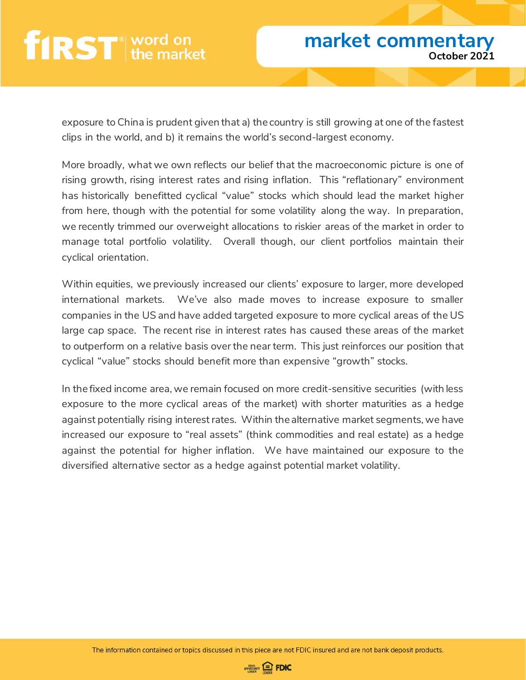## **first** word on

exposure to China is prudent given that a) the country is still growing at one of the fastest clips in the world, and b) it remains the world's second-largest economy.

More broadly, what we own reflects our belief that the macroeconomic picture is one of rising growth, rising interest rates and rising inflation. This "reflationary" environment has historically benefitted cyclical "value" stocks which should lead the market higher from here, though with the potential for some volatility along the way. In preparation, we recently trimmed our overweight allocations to riskier areas of the market in order to manage total portfolio volatility. Overall though, our client portfolios maintain their cyclical orientation.

Within equities, we previously increased our clients' exposure to larger, more developed international markets. We've also made moves to increase exposure to smaller companies in the US and have added targeted exposure to more cyclical areas of the US large cap space. The recent rise in interest rates has caused these areas of the market to outperform on a relative basis over the near term. This just reinforces our position that cyclical "value" stocks should benefit more than expensive "growth" stocks.

In the fixed income area, we remain focused on more credit-sensitive securities (with less exposure to the more cyclical areas of the market) with shorter maturities as a hedge against potentially rising interest rates. Within the alternative market segments, we have increased our exposure to "real assets" (think commodities and real estate) as a hedge against the potential for higher inflation. We have maintained our exposure to the diversified alternative sector as a hedge against potential market volatility.

The information contained or topics discussed in this piece are not FDIC insured and are not bank deposit products.